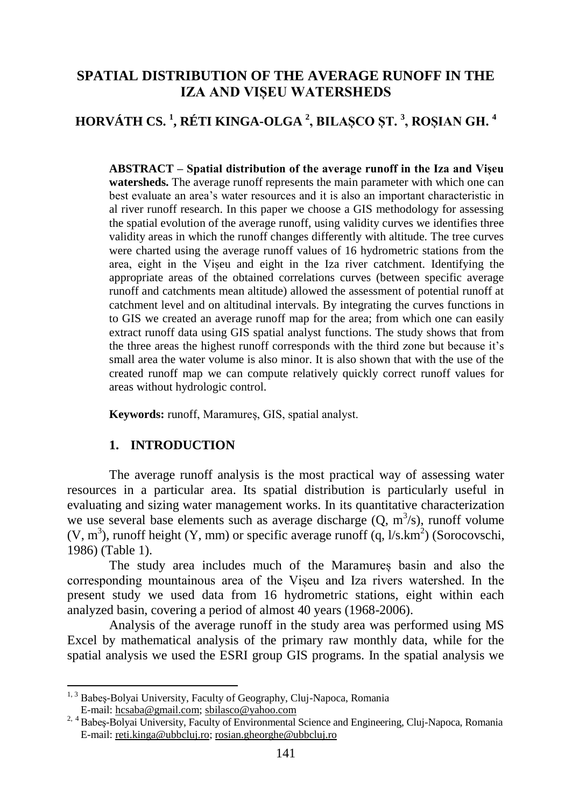## **SPATIAL DISTRIBUTION OF THE AVERAGE RUNOFF IN THE IZA AND VIȘEU WATERSHEDS**

# **HORVÁTH CS. <sup>1</sup> , RÉTI KINGA-OLGA <sup>2</sup> , BILAȘCO ȘT. <sup>3</sup> , ROȘIAN GH. <sup>4</sup>**

**ABSTRACT – Spatial distribution of the average runoff in the Iza and Vișeu watersheds.** The average runoff represents the main parameter with which one can best evaluate an area's water resources and it is also an important characteristic in al river runoff research. In this paper we choose a GIS methodology for assessing the spatial evolution of the average runoff, using validity curves we identifies three validity areas in which the runoff changes differently with altitude. The tree curves were charted using the average runoff values of 16 hydrometric stations from the area, eight in the Vișeu and eight in the Iza river catchment. Identifying the appropriate areas of the obtained correlations curves (between specific average runoff and catchments mean altitude) allowed the assessment of potential runoff at catchment level and on altitudinal intervals. By integrating the curves functions in to GIS we created an average runoff map for the area; from which one can easily extract runoff data using GIS spatial analyst functions. The study shows that from the three areas the highest runoff corresponds with the third zone but because it's small area the water volume is also minor. It is also shown that with the use of the created runoff map we can compute relatively quickly correct runoff values for areas without hydrologic control.

**Keywords:** runoff, Maramureș, GIS, spatial analyst.

## **1. INTRODUCTION**

 $\overline{a}$ 

The average runoff analysis is the most practical way of assessing water resources in a particular area. Its spatial distribution is particularly useful in evaluating and sizing water management works. In its quantitative characterization we use several base elements such as average discharge  $(Q, m^3/s)$ , runoff volume  $(V, m<sup>3</sup>)$ , runoff height  $(Y, mm)$  or specific average runoff  $(q, 1/s. km<sup>2</sup>)$  (Sorocovschi, 1986) (Table 1).

The study area includes much of the Maramureș basin and also the corresponding mountainous area of the Vișeu and Iza rivers watershed. In the present study we used data from 16 hydrometric stations, eight within each analyzed basin, covering a period of almost 40 years (1968-2006).

Analysis of the average runoff in the study area was performed using MS Excel by mathematical analysis of the primary raw monthly data, while for the spatial analysis we used the ESRI group GIS programs. In the spatial analysis we

<sup>&</sup>lt;sup>1, 3</sup> Babes-Bolyai University, Faculty of Geography, Cluj-Napoca, Romania E-mail: hcsaba@gmail.com; sbilasco@yahoo.com

<sup>&</sup>lt;sup>2, 4</sup> Babeş-Bolyai University, Faculty of Environmental Science and Engineering, Cluj-Napoca, Romania E-mail: reti.kinga@ubbcluj.ro; rosian.gheorghe@ubbcluj.ro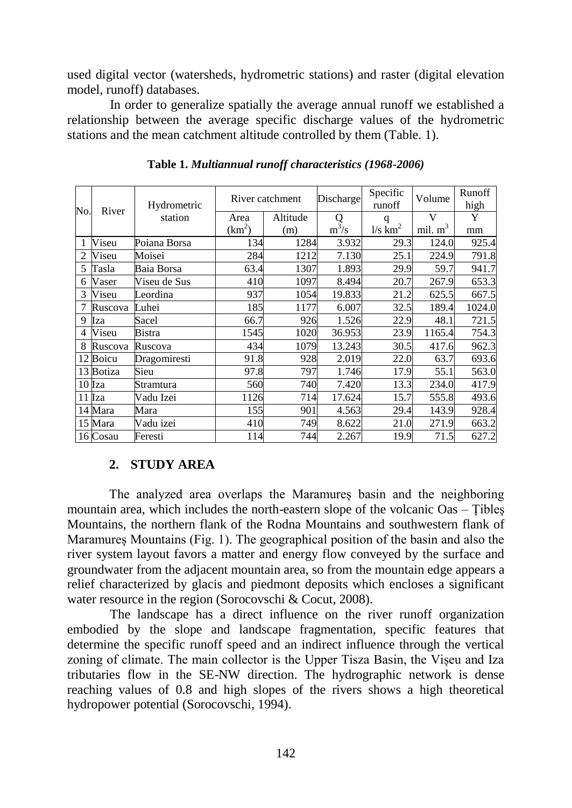used digital vector (watersheds, hydrometric stations) and raster (digital elevation model, runoff) databases.

In order to generalize spatially the average annual runoff we established a relationship between the average specific discharge values of the hydrometric stations and the mean catchment altitude controlled by them (Table. 1).

| No. | River     | Hydrometric<br>station | River catchment |          | Discharge | Specific<br>runoff    | Volume    | Runoff<br>high |
|-----|-----------|------------------------|-----------------|----------|-----------|-----------------------|-----------|----------------|
|     |           |                        | Area            | Altitude | Q         | q                     | V         | Y              |
|     |           |                        | $(km^2)$        | (m)      | $m^3/s$   | $1/s$ km <sup>2</sup> | mil. $m3$ | mm             |
|     | Viseu     | Poiana Borsa           | 134             | 1284     | 3.932     | 29.3                  | 124.0     | 925.4          |
| 2   | Viseu     | Moisei                 | 284             | 1212     | 7.130     | 25.1                  | 224.9     | 791.8          |
| 5   | Tasla     | Baia Borsa             | 63.4            | 1307     | 1.893     | 29.9                  | 59.7      | 941.7          |
| 6   | Vaser     | Viseu de Sus           | 410             | 1097     | 8.494     | 20.7                  | 267.9     | 653.3          |
| 3   | Viseu     | Leordina               | 937             | 1054     | 19.833    | 21.2                  | 625.5     | 667.5          |
|     | Ruscova   | Luhei                  | 185             | 1177     | 6.007     | 32.5                  | 189.4     | 1024.0         |
| 9   | Iza       | Sacel                  | 66.7            | 926      | 1.526     | 22.9                  | 48.1      | 721.5          |
| 4   | Viseu     | Bistra                 | 1545            | 1020     | 36.953    | 23.9                  | 1165.4    | 754.3          |
| 8   | Ruscova   | Ruscova                | 434             | 1079     | 13.243    | 30.5                  | 417.6     | 962.3          |
| 12  | Boicu     | Dragomiresti           | 91.8            | 928      | 2.019     | 22.0                  | 63.7      | 693.6          |
|     | 13 Botiza | Sieu                   | 97.8            | 797      | 1.746     | 17.9                  | 55.1      | 563.0          |
|     | $10$ Iza  | Stramtura              | 560             | 740      | 7.420     | 13.3                  | 234.0     | 417.9          |
|     | 11 Iza    | Vadu Izei              | 1126            | 714      | 17.624    | 15.7                  | 555.8     | 493.6          |
|     | 14 Mara   | Mara                   | 155             | 901      | 4.563     | 29.4                  | 143.9     | 928.4          |
|     | 15 Mara   | Vadu izei              | 410             | 749      | 8.622     | 21.0                  | 271.9     | 663.2          |
|     | 16 Cosau  | Feresti                | 114             | 744      | 2.267     | 19.9                  | 71.5      | 627.2          |

**Table 1.** *Multiannual runoff characteristics (1968-2006)*

## **2. STUDY AREA**

The analyzed area overlaps the Maramureș basin and the neighboring mountain area, which includes the north-eastern slope of the volcanic Oas – Ţibleş Mountains, the northern flank of the Rodna Mountains and southwestern flank of Maramureș Mountains (Fig. 1). The geographical position of the basin and also the river system layout favors a matter and energy flow conveyed by the surface and groundwater from the adjacent mountain area, so from the mountain edge appears a relief characterized by glacis and piedmont deposits which encloses a significant water resource in the region (Sorocovschi & Cocut, 2008).

The landscape has a direct influence on the river runoff organization embodied by the slope and landscape fragmentation, specific features that determine the specific runoff speed and an indirect influence through the vertical zoning of climate. The main collector is the Upper Tisza Basin, the Vișeu and Iza tributaries flow in the SE-NW direction. The hydrographic network is dense reaching values of 0.8 and high slopes of the rivers shows a high theoretical hydropower potential (Sorocovschi, 1994).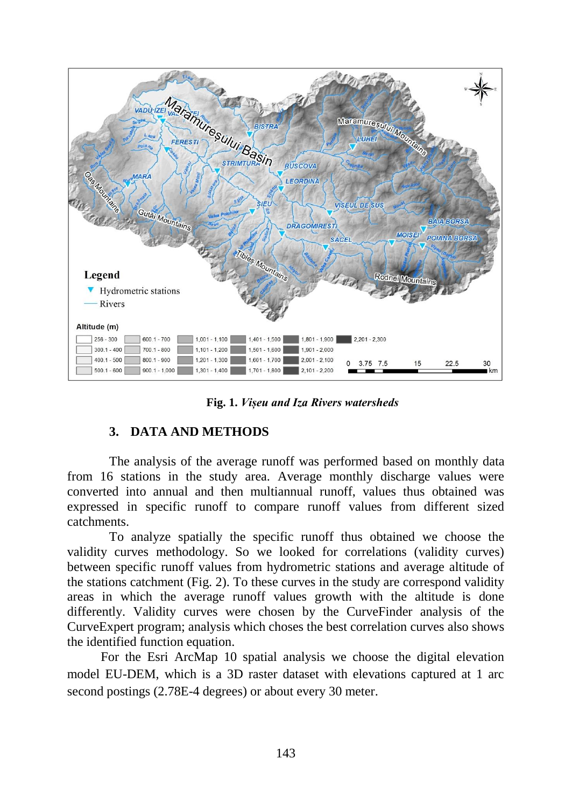

**Fig. 1.** *Vișeu and Iza Rivers watersheds* 

## **3. DATA AND METHODS**

The analysis of the average runoff was performed based on monthly data from 16 stations in the study area. Average monthly discharge values were converted into annual and then multiannual runoff, values thus obtained was expressed in specific runoff to compare runoff values from different sized catchments.

To analyze spatially the specific runoff thus obtained we choose the validity curves methodology. So we looked for correlations (validity curves) between specific runoff values from hydrometric stations and average altitude of the stations catchment (Fig. 2). To these curves in the study are correspond validity areas in which the average runoff values growth with the altitude is done differently. Validity curves were chosen by the CurveFinder analysis of the CurveExpert program; analysis which choses the best correlation curves also shows the identified function equation.

For the Esri ArcMap 10 spatial analysis we choose the digital elevation model EU-DEM, which is a 3D raster dataset with elevations captured at 1 arc second postings (2.78E-4 degrees) or about every 30 meter.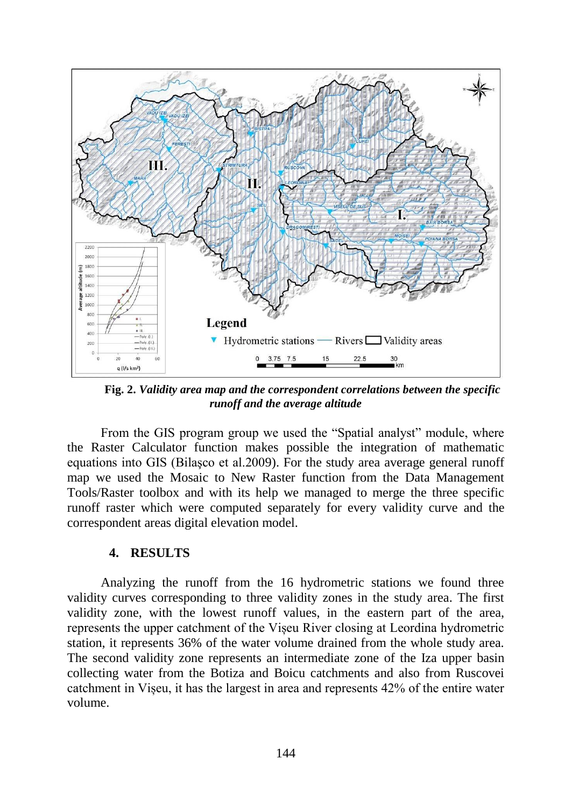

**Fig. 2.** *Validity area map and the correspondent correlations between the specific runoff and the average altitude*

From the GIS program group we used the "Spatial analyst" module, where the Raster Calculator function makes possible the integration of mathematic equations into GIS (Bilaşco et al.2009). For the study area average general runoff map we used the Mosaic to New Raster function from the Data Management Tools/Raster toolbox and with its help we managed to merge the three specific runoff raster which were computed separately for every validity curve and the correspondent areas digital elevation model.

#### **4. RESULTS**

Analyzing the runoff from the 16 hydrometric stations we found three validity curves corresponding to three validity zones in the study area. The first validity zone, with the lowest runoff values, in the eastern part of the area, represents the upper catchment of the Vișeu River closing at Leordina hydrometric station, it represents 36% of the water volume drained from the whole study area. The second validity zone represents an intermediate zone of the Iza upper basin collecting water from the Botiza and Boicu catchments and also from Ruscovei catchment in Vișeu, it has the largest in area and represents 42% of the entire water volume.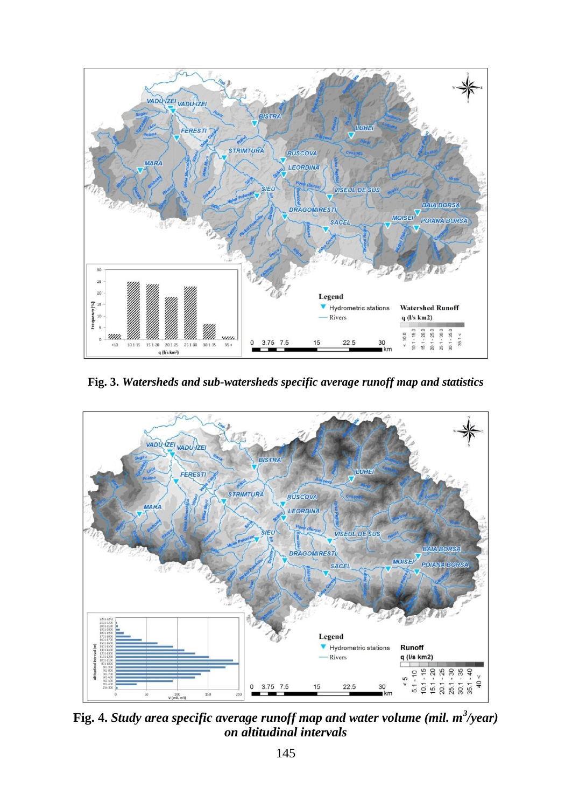

**Fig. 3.** *Watersheds and sub-watersheds specific average runoff map and statistics*



**Fig. 4.** *Study area specific average runoff map and water volume (mil. m<sup>3</sup> /year) on altitudinal intervals*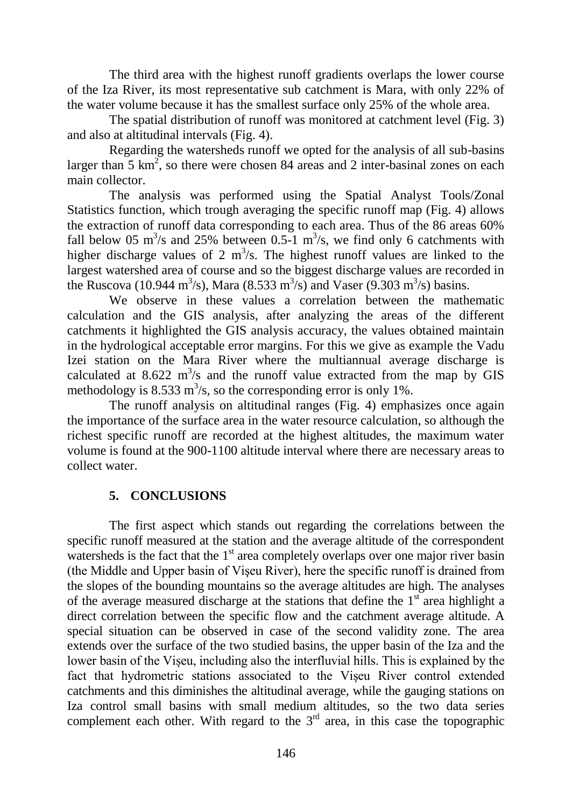The third area with the highest runoff gradients overlaps the lower course of the Iza River, its most representative sub catchment is Mara, with only 22% of the water volume because it has the smallest surface only 25% of the whole area.

The spatial distribution of runoff was monitored at catchment level (Fig. 3) and also at altitudinal intervals (Fig. 4).

Regarding the watersheds runoff we opted for the analysis of all sub-basins larger than  $5 \text{ km}^2$ , so there were chosen 84 areas and 2 inter-basinal zones on each main collector.

The analysis was performed using the Spatial Analyst Tools/Zonal Statistics function, which trough averaging the specific runoff map (Fig. 4) allows the extraction of runoff data corresponding to each area. Thus of the 86 areas 60% fall below 05  $\text{m}^3$ /s and 25% between 0.5-1  $\text{m}^3$ /s, we find only 6 catchments with higher discharge values of 2  $m^3/s$ . The highest runoff values are linked to the largest watershed area of course and so the biggest discharge values are recorded in the Ruscova (10.944 m<sup>3</sup>/s), Mara (8.533 m<sup>3</sup>/s) and Vaser (9.303 m<sup>3</sup>/s) basins.

We observe in these values a correlation between the mathematic calculation and the GIS analysis, after analyzing the areas of the different catchments it highlighted the GIS analysis accuracy, the values obtained maintain in the hydrological acceptable error margins. For this we give as example the Vadu Izei station on the Mara River where the multiannual average discharge is calculated at 8.622  $\mathrm{m}^3$ /s and the runoff value extracted from the map by GIS methodology is 8.533 m<sup>3</sup>/s, so the corresponding error is only 1%.

The runoff analysis on altitudinal ranges (Fig. 4) emphasizes once again the importance of the surface area in the water resource calculation, so although the richest specific runoff are recorded at the highest altitudes, the maximum water volume is found at the 900-1100 altitude interval where there are necessary areas to collect water.

## **5. CONCLUSIONS**

The first aspect which stands out regarding the correlations between the specific runoff measured at the station and the average altitude of the correspondent watersheds is the fact that the  $1<sup>st</sup>$  area completely overlaps over one major river basin (the Middle and Upper basin of Vişeu River), here the specific runoff is drained from the slopes of the bounding mountains so the average altitudes are high. The analyses of the average measured discharge at the stations that define the  $1<sup>st</sup>$  area highlight a direct correlation between the specific flow and the catchment average altitude. A special situation can be observed in case of the second validity zone. The area extends over the surface of the two studied basins, the upper basin of the Iza and the lower basin of the Vișeu, including also the interfluvial hills. This is explained by the fact that hydrometric stations associated to the Vișeu River control extended catchments and this diminishes the altitudinal average, while the gauging stations on Iza control small basins with small medium altitudes, so the two data series complement each other. With regard to the  $3<sup>rd</sup>$  area, in this case the topographic